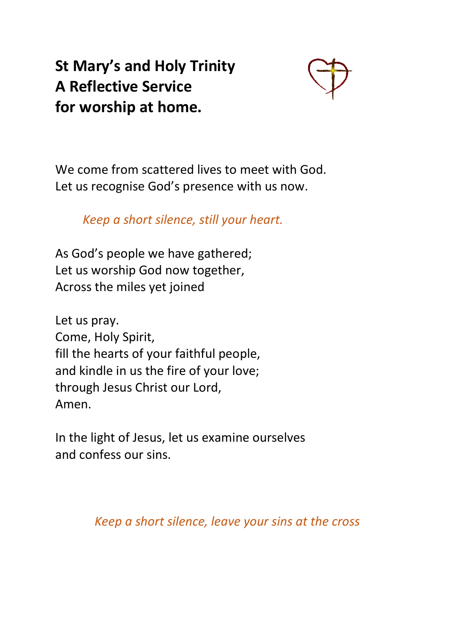**St Mary's and Holy Trinity A Reflective Service for worship at home.** 



We come from scattered lives to meet with God. Let us recognise God's presence with us now.

*Keep a short silence, still your heart.*

As God's people we have gathered; Let us worship God now together, Across the miles yet joined

Let us pray. Come, Holy Spirit, fill the hearts of your faithful people, and kindle in us the fire of your love; through Jesus Christ our Lord, Amen.

In the light of Jesus, let us examine ourselves and confess our sins.

*Keep a short silence, leave your sins at the cross*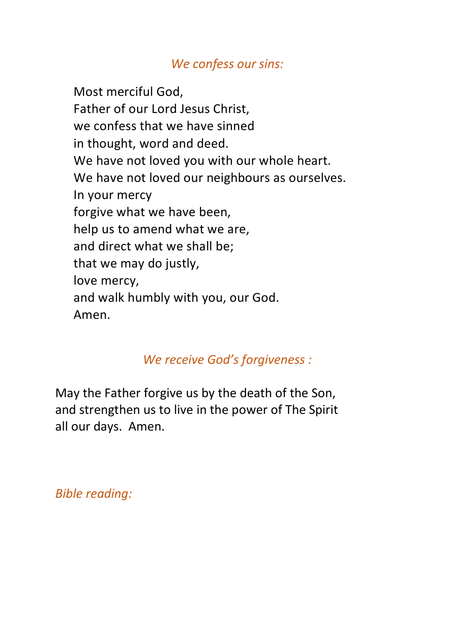### *We confess our sins:*

Most merciful God, Father of our Lord Jesus Christ, we confess that we have sinned in thought, word and deed. We have not loved you with our whole heart. We have not loved our neighbours as ourselves. In your mercy forgive what we have been, help us to amend what we are, and direct what we shall be; that we may do justly, love mercy, and walk humbly with you, our God. Amen.

## *We receive God's forgiveness :*

May the Father forgive us by the death of the Son, and strengthen us to live in the power of The Spirit all our days. Amen.

*Bible reading:*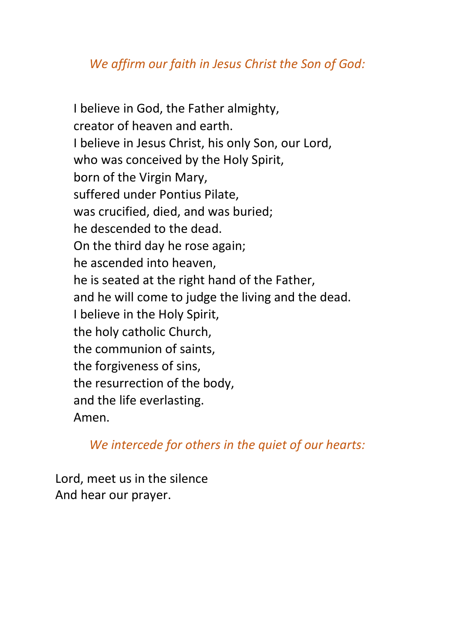## *We affirm our faith in Jesus Christ the Son of God:*

I believe in God, the Father almighty, creator of heaven and earth. I believe in Jesus Christ, his only Son, our Lord, who was conceived by the Holy Spirit, born of the Virgin Mary, suffered under Pontius Pilate, was crucified, died, and was buried; he descended to the dead. On the third day he rose again; he ascended into heaven, he is seated at the right hand of the Father, and he will come to judge the living and the dead. I believe in the Holy Spirit, the holy catholic Church, the communion of saints, the forgiveness of sins, the resurrection of the body, and the life everlasting. Amen.

*We intercede for others in the quiet of our hearts:*

Lord, meet us in the silence And hear our prayer.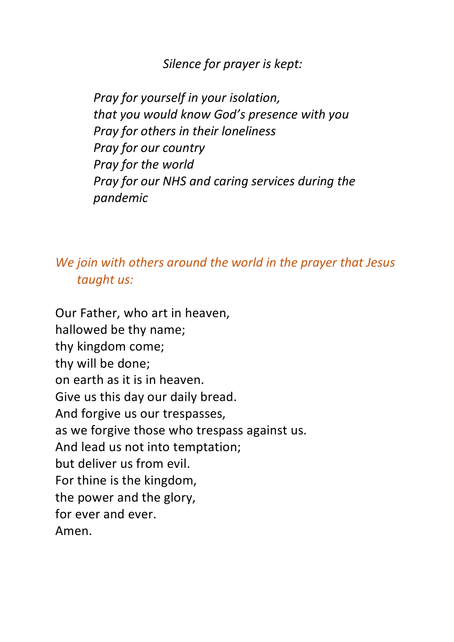*Silence for prayer is kept:*

*Pray for yourself in your isolation, that you would know God's presence with you Pray for others in their loneliness Pray for our country Pray for the world Pray for our NHS and caring services during the pandemic*

*We join with others around the world in the prayer that Jesus taught us:* 

Our Father, who art in heaven, hallowed be thy name; thy kingdom come; thy will be done; on earth as it is in heaven. Give us this day our daily bread. And forgive us our trespasses, as we forgive those who trespass against us. And lead us not into temptation; but deliver us from evil. For thine is the kingdom, the power and the glory, for ever and ever. Amen.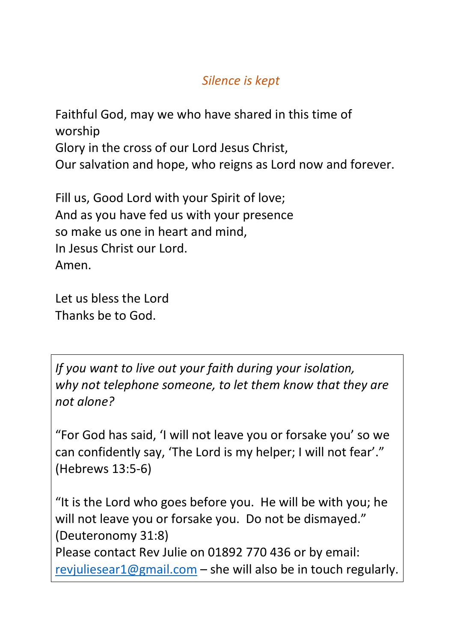# *Silence is kept*

Faithful God, may we who have shared in this time of worship Glory in the cross of our Lord Jesus Christ, Our salvation and hope, who reigns as Lord now and forever.

Fill us, Good Lord with your Spirit of love; And as you have fed us with your presence so make us one in heart and mind, In Jesus Christ our Lord. Amen.

Let us bless the Lord Thanks be to God.

*If you want to live out your faith during your isolation, why not telephone someone, to let them know that they are not alone?*

"For God has said, 'I will not leave you or forsake you' so we can confidently say, 'The Lord is my helper; I will not fear'." (Hebrews 13:5-6)

"It is the Lord who goes before you. He will be with you; he will not leave you or forsake you. Do not be dismayed." (Deuteronomy 31:8)

Please contact Rev Julie on 01892 770 436 or by email: revjuliesear1@gmail.com – she will also be in touch regularly.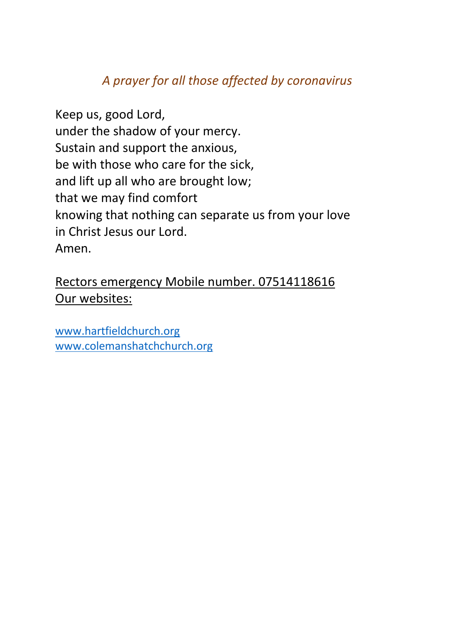## *A prayer for all those affected by coronavirus*

Keep us, good Lord, under the shadow of your mercy. Sustain and support the anxious, be with those who care for the sick, and lift up all who are brought low; that we may find comfort knowing that nothing can separate us from your love in Christ Jesus our Lord. Amen.

Rectors emergency Mobile number. 07514118616 Our websites:

www.hartfieldchurch.org www.colemanshatchchurch.org